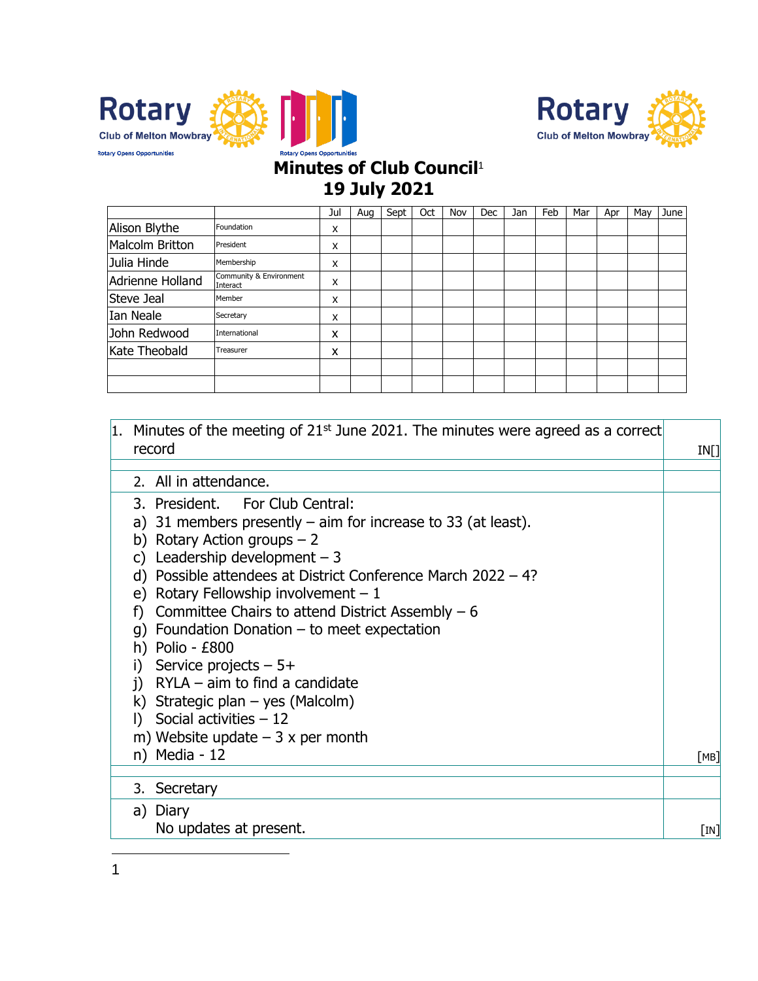



## **Minutes of Club Council**<sup>1</sup> **19 July 2021**

|                  |                                     | Jul | Aug | Sept | Oct | Nov | Dec | Jan | Feb | Mar | Apr | May | June |
|------------------|-------------------------------------|-----|-----|------|-----|-----|-----|-----|-----|-----|-----|-----|------|
| Alison Blythe    | Foundation                          | X   |     |      |     |     |     |     |     |     |     |     |      |
| Malcolm Britton  | President                           | x   |     |      |     |     |     |     |     |     |     |     |      |
| Julia Hinde      | Membership                          | x   |     |      |     |     |     |     |     |     |     |     |      |
| Adrienne Holland | Community & Environment<br>Interact | X   |     |      |     |     |     |     |     |     |     |     |      |
| Steve Jeal       | Member                              | x   |     |      |     |     |     |     |     |     |     |     |      |
| Ian Neale        | Secretary                           | x   |     |      |     |     |     |     |     |     |     |     |      |
| John Redwood     | International                       | x   |     |      |     |     |     |     |     |     |     |     |      |
| Kate Theobald    | Treasurer                           | x   |     |      |     |     |     |     |     |     |     |     |      |
|                  |                                     |     |     |      |     |     |     |     |     |     |     |     |      |
|                  |                                     |     |     |      |     |     |     |     |     |     |     |     |      |

| 1. Minutes of the meeting of $21st$ June 2021. The minutes were agreed as a correct<br>record<br>IN[]<br>2. All in attendance.<br>3. President. For Club Central:<br>a) 31 members presently $-$ aim for increase to 33 (at least).<br>b) Rotary Action groups $-2$<br>Leadership development $-3$<br>C)<br>d) Possible attendees at District Conference March $2022 - 4$ ?<br>e) Rotary Fellowship involvement $-1$<br>f) Committee Chairs to attend District Assembly $-6$<br>g) Foundation Donation $-$ to meet expectation<br>h) Polio - $E800$<br>Service projects $-5+$<br>i)<br>$i)$ RYLA – aim to find a candidate<br>k) Strategic plan $-$ yes (Malcolm)<br>Social activities $-12$<br>D.<br>m) Website update $-3x$ per month<br>n) Media - 12<br>3. Secretary<br>a) Diary<br>No updates at present. |  |                           |
|----------------------------------------------------------------------------------------------------------------------------------------------------------------------------------------------------------------------------------------------------------------------------------------------------------------------------------------------------------------------------------------------------------------------------------------------------------------------------------------------------------------------------------------------------------------------------------------------------------------------------------------------------------------------------------------------------------------------------------------------------------------------------------------------------------------|--|---------------------------|
|                                                                                                                                                                                                                                                                                                                                                                                                                                                                                                                                                                                                                                                                                                                                                                                                                |  |                           |
|                                                                                                                                                                                                                                                                                                                                                                                                                                                                                                                                                                                                                                                                                                                                                                                                                |  |                           |
|                                                                                                                                                                                                                                                                                                                                                                                                                                                                                                                                                                                                                                                                                                                                                                                                                |  |                           |
|                                                                                                                                                                                                                                                                                                                                                                                                                                                                                                                                                                                                                                                                                                                                                                                                                |  |                           |
|                                                                                                                                                                                                                                                                                                                                                                                                                                                                                                                                                                                                                                                                                                                                                                                                                |  |                           |
|                                                                                                                                                                                                                                                                                                                                                                                                                                                                                                                                                                                                                                                                                                                                                                                                                |  |                           |
|                                                                                                                                                                                                                                                                                                                                                                                                                                                                                                                                                                                                                                                                                                                                                                                                                |  |                           |
|                                                                                                                                                                                                                                                                                                                                                                                                                                                                                                                                                                                                                                                                                                                                                                                                                |  |                           |
|                                                                                                                                                                                                                                                                                                                                                                                                                                                                                                                                                                                                                                                                                                                                                                                                                |  |                           |
|                                                                                                                                                                                                                                                                                                                                                                                                                                                                                                                                                                                                                                                                                                                                                                                                                |  |                           |
|                                                                                                                                                                                                                                                                                                                                                                                                                                                                                                                                                                                                                                                                                                                                                                                                                |  |                           |
|                                                                                                                                                                                                                                                                                                                                                                                                                                                                                                                                                                                                                                                                                                                                                                                                                |  |                           |
|                                                                                                                                                                                                                                                                                                                                                                                                                                                                                                                                                                                                                                                                                                                                                                                                                |  |                           |
|                                                                                                                                                                                                                                                                                                                                                                                                                                                                                                                                                                                                                                                                                                                                                                                                                |  |                           |
|                                                                                                                                                                                                                                                                                                                                                                                                                                                                                                                                                                                                                                                                                                                                                                                                                |  |                           |
|                                                                                                                                                                                                                                                                                                                                                                                                                                                                                                                                                                                                                                                                                                                                                                                                                |  |                           |
|                                                                                                                                                                                                                                                                                                                                                                                                                                                                                                                                                                                                                                                                                                                                                                                                                |  |                           |
|                                                                                                                                                                                                                                                                                                                                                                                                                                                                                                                                                                                                                                                                                                                                                                                                                |  |                           |
|                                                                                                                                                                                                                                                                                                                                                                                                                                                                                                                                                                                                                                                                                                                                                                                                                |  | [MB]                      |
|                                                                                                                                                                                                                                                                                                                                                                                                                                                                                                                                                                                                                                                                                                                                                                                                                |  |                           |
|                                                                                                                                                                                                                                                                                                                                                                                                                                                                                                                                                                                                                                                                                                                                                                                                                |  |                           |
|                                                                                                                                                                                                                                                                                                                                                                                                                                                                                                                                                                                                                                                                                                                                                                                                                |  |                           |
|                                                                                                                                                                                                                                                                                                                                                                                                                                                                                                                                                                                                                                                                                                                                                                                                                |  | $\lceil \text{IN} \rceil$ |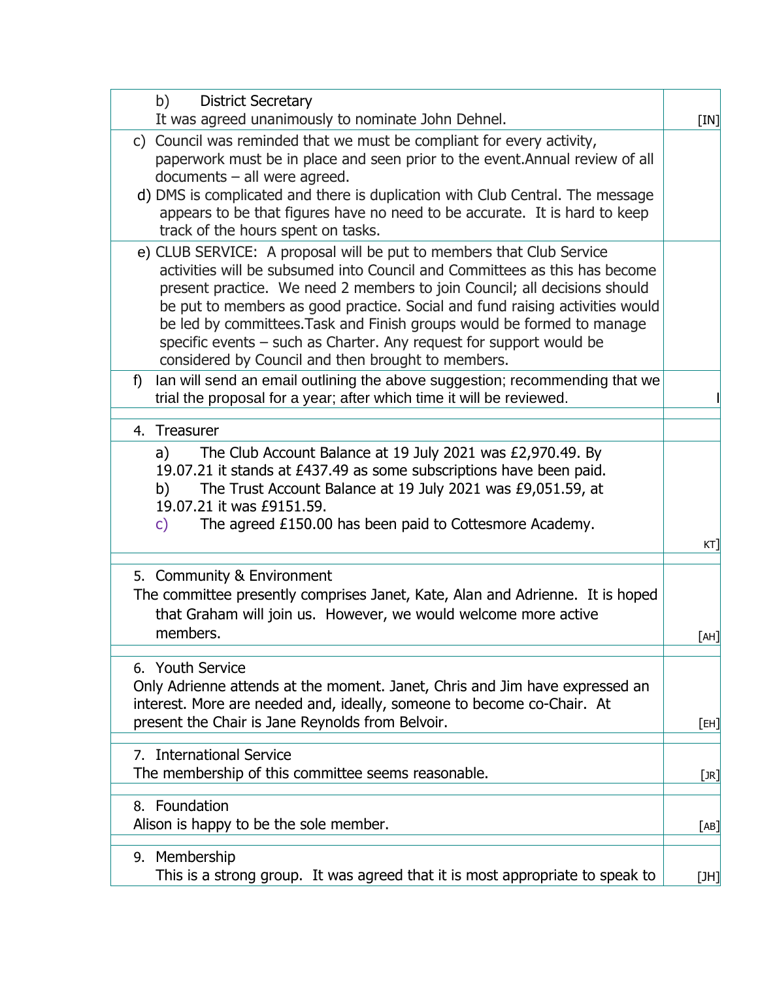| b)<br><b>District Secretary</b>                                                                                                                                                                                                                                                                                                                                                                                                                                                                                        |        |
|------------------------------------------------------------------------------------------------------------------------------------------------------------------------------------------------------------------------------------------------------------------------------------------------------------------------------------------------------------------------------------------------------------------------------------------------------------------------------------------------------------------------|--------|
| It was agreed unanimously to nominate John Dehnel.                                                                                                                                                                                                                                                                                                                                                                                                                                                                     | [IN]   |
| c) Council was reminded that we must be compliant for every activity,<br>paperwork must be in place and seen prior to the event. Annual review of all<br>$documents - all were agreed.$<br>d) DMS is complicated and there is duplication with Club Central. The message<br>appears to be that figures have no need to be accurate. It is hard to keep                                                                                                                                                                 |        |
| track of the hours spent on tasks.                                                                                                                                                                                                                                                                                                                                                                                                                                                                                     |        |
| e) CLUB SERVICE: A proposal will be put to members that Club Service<br>activities will be subsumed into Council and Committees as this has become<br>present practice. We need 2 members to join Council; all decisions should<br>be put to members as good practice. Social and fund raising activities would<br>be led by committees. Task and Finish groups would be formed to manage<br>specific events - such as Charter. Any request for support would be<br>considered by Council and then brought to members. |        |
| Ian will send an email outlining the above suggestion; recommending that we<br>f)<br>trial the proposal for a year; after which time it will be reviewed.                                                                                                                                                                                                                                                                                                                                                              |        |
| 4. Treasurer                                                                                                                                                                                                                                                                                                                                                                                                                                                                                                           |        |
| The Club Account Balance at 19 July 2021 was £2,970.49. By<br>a)<br>19.07.21 it stands at £437.49 as some subscriptions have been paid.<br>The Trust Account Balance at 19 July 2021 was £9,051.59, at<br>b)<br>19.07.21 it was £9151.59.<br>The agreed £150.00 has been paid to Cottesmore Academy.<br>$\mathsf{C}$                                                                                                                                                                                                   |        |
|                                                                                                                                                                                                                                                                                                                                                                                                                                                                                                                        | $KT$ ] |
| 5. Community & Environment<br>The committee presently comprises Janet, Kate, Alan and Adrienne. It is hoped<br>that Graham will join us. However, we would welcome more active<br>members.                                                                                                                                                                                                                                                                                                                             | [AH]   |
| 6. Youth Service                                                                                                                                                                                                                                                                                                                                                                                                                                                                                                       |        |
| Only Adrienne attends at the moment. Janet, Chris and Jim have expressed an<br>interest. More are needed and, ideally, someone to become co-Chair. At                                                                                                                                                                                                                                                                                                                                                                  |        |
| present the Chair is Jane Reynolds from Belvoir.                                                                                                                                                                                                                                                                                                                                                                                                                                                                       | [EH]   |
| 7. International Service<br>The membership of this committee seems reasonable.                                                                                                                                                                                                                                                                                                                                                                                                                                         | [JR]   |
| 8. Foundation<br>Alison is happy to be the sole member.                                                                                                                                                                                                                                                                                                                                                                                                                                                                | [AB]   |
| 9. Membership<br>This is a strong group. It was agreed that it is most appropriate to speak to                                                                                                                                                                                                                                                                                                                                                                                                                         | [JH]   |